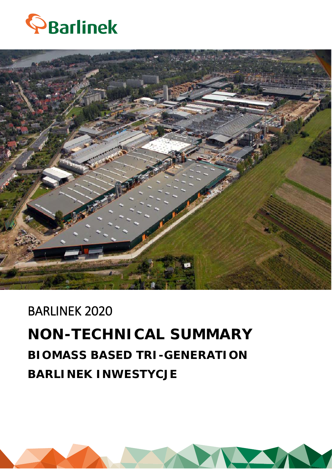



# BARLINEK 2020 **NON-TECHNICAL SUMMARY BIOMASS BASED TRI-GENERATION BARLINEK INWESTYCJE**

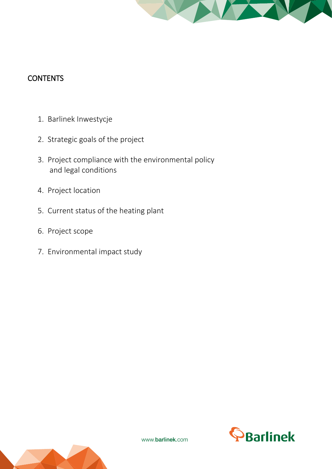

### **CONTENTS**

- 1. Barlinek Inwestycje
- 2. Strategic goals of the project
- 3. Project compliance with the environmental policy and legal conditions
- 4. Project location
- 5. Current status of the heating plant
- 6. Project scope
- 7. Environmental impact study



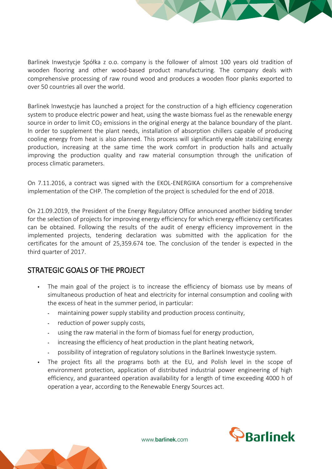

Barlinek Inwestycje has launched a project for the construction of a high efficiency cogeneration system to produce electric power and heat, using the waste biomass fuel as the renewable energy source in order to limit  $CO<sub>2</sub>$  emissions in the original energy at the balance boundary of the plant. In order to supplement the plant needs, installation of absorption chillers capable of producing cooling energy from heat is also planned. This process will significantly enable stabilizing energy production, increasing at the same time the work comfort in production halls and actually improving the production quality and raw material consumption through the unification of process climatic parameters.

On 7.11.2016, a contract was signed with the EKOL-ENERGIKA consortium for a comprehensive implementation of the CHP. The completion of the project is scheduled for the end of 2018.

On 21.09.2019, the President of the Energy Regulatory Office announced another bidding tender for the selection of projects for improving energy efficiency for which energy efficiency certificates can be obtained. Following the results of the audit of energy efficiency improvement in the implemented projects, tendering declaration was submitted with the application for the certificates for the amount of 25,359.674 toe. The conclusion of the tender is expected in the third quarter of 2017.

#### STRATEGIC GOALS OF THE PROJECT

- The main goal of the project is to increase the efficiency of biomass use by means of simultaneous production of heat and electricity for internal consumption and cooling with the excess of heat in the summer period, in particular:
	- **-** maintaining power supply stability and production process continuity,
	- **-** reduction of power supply costs,
	- **-** using the raw material in the form of biomass fuel for energy production,
	- **-** increasing the efficiency of heat production in the plant heating network,
	- **-** possibility of integration of regulatory solutions in the Barlinek Inwestycje system.
- The project fits all the programs both at the EU, and Polish level in the scope of environment protection, application of distributed industrial power engineering of high efficiency, and guaranteed operation availability for a length of time exceeding 4000 h of operation a year, according to the Renewable Energy Sources act.



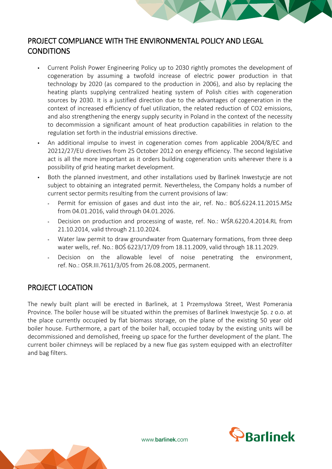

#### PROJECT COMPLIANCE WITH THE ENVIRONMENTAL POLICY AND LEGAL **CONDITIONS**

- Current Polish Power Engineering Policy up to 2030 rightly promotes the development of cogeneration by assuming a twofold increase of electric power production in that technology by 2020 (as compared to the production in 2006), and also by replacing the heating plants supplying centralized heating system of Polish cities with cogeneration sources by 2030. It is a justified direction due to the advantages of cogeneration in the context of increased efficiency of fuel utilization, the related reduction of CO2 emissions, and also strengthening the energy supply security in Poland in the context of the necessity to decommission a significant amount of heat production capabilities in relation to the regulation set forth in the industrial emissions directive.
- An additional impulse to invest in cogeneration comes from applicable 2004/8/EC and 20212/27/EU directives from 25 October 2012 on energy efficiency. The second legislative act is all the more important as it orders building cogeneration units wherever there is a possibility of grid heating market development.
- Both the planned investment, and other installations used by Barlinek Inwestycje are not subject to obtaining an integrated permit. Nevertheless, the Company holds a number of current sector permits resulting from the current provisions of law:
	- **-** Permit for emission of gases and dust into the air, ref. No.: BOŚ.6224.11.2015.MSz from 04.01.2016, valid through 04.01.2026.
	- **-** Decision on production and processing of waste, ref. No.: WŚR.6220.4.2014.RL from 21.10.2014, valid through 21.10.2024.
	- **-** Water law permit to draw groundwater from Quaternary formations, from three deep water wells, ref. No.: BOŚ 6223/17/09 from 18.11.2009, valid through 18.11.2029.
	- **-** Decision on the allowable level of noise penetrating the environment, ref. No.: OSR.III.7611/3/05 from 26.08.2005, permanent.

#### PROJECT LOCATION

The newly built plant will be erected in Barlinek, at 1 Przemysłowa Street, West Pomerania Province. The boiler house will be situated within the premises of Barlinek Inwestycje Sp. z o.o. at the place currently occupied by flat biomass storage, on the plane of the existing 50 year old boiler house. Furthermore, a part of the boiler hall, occupied today by the existing units will be decommissioned and demolished, freeing up space for the further development of the plant. The current boiler chimneys will be replaced by a new flue gas system equipped with an electrofilter and bag filters.

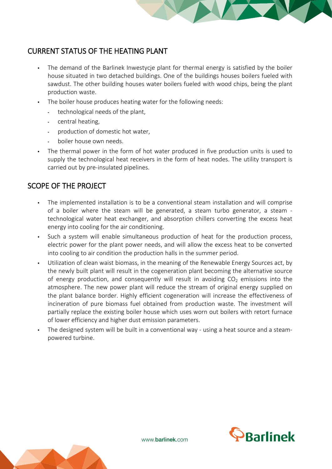

#### CURRENT STATUS OF THE HEATING PLANT

- The demand of the Barlinek Inwestycje plant for thermal energy is satisfied by the boiler house situated in two detached buildings. One of the buildings houses boilers fueled with sawdust. The other building houses water boilers fueled with wood chips, being the plant production waste.
- The boiler house produces heating water for the following needs:
	- **-** technological needs of the plant,
	- **-** central heating,
	- **-** production of domestic hot water,
	- **-** boiler house own needs.
- The thermal power in the form of hot water produced in five production units is used to supply the technological heat receivers in the form of heat nodes. The utility transport is carried out by pre-insulated pipelines.

#### SCOPE OF THE PROJECT

- The implemented installation is to be a conventional steam installation and will comprise of a boiler where the steam will be generated, a steam turbo generator, a steam technological water heat exchanger, and absorption chillers converting the excess heat energy into cooling for the air conditioning.
- Such a system will enable simultaneous production of heat for the production process, electric power for the plant power needs, and will allow the excess heat to be converted into cooling to air condition the production halls in the summer period.
- Utilization of clean waist biomass, in the meaning of the Renewable Energy Sources act, by the newly built plant will result in the cogeneration plant becoming the alternative source of energy production, and consequently will result in avoiding  $CO<sub>2</sub>$  emissions into the atmosphere. The new power plant will reduce the stream of original energy supplied on the plant balance border. Highly efficient cogeneration will increase the effectiveness of incineration of pure biomass fuel obtained from production waste. The investment will partially replace the existing boiler house which uses worn out boilers with retort furnace of lower efficiency and higher dust emission parameters.
- The designed system will be built in a conventional way using a heat source and a steampowered turbine.